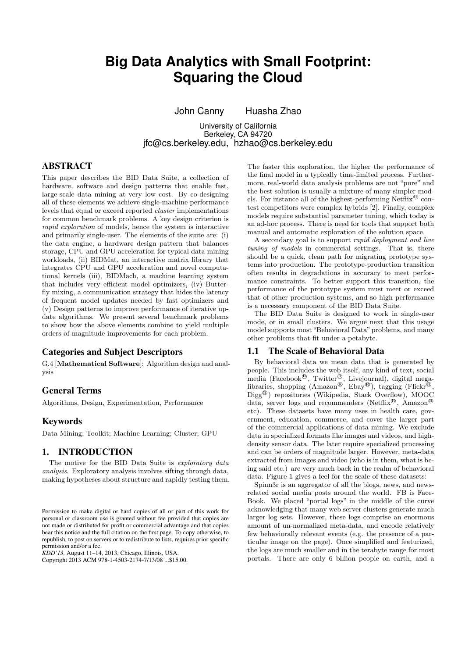# **Big Data Analytics with Small Footprint: Squaring the Cloud**

John Canny Huasha Zhao

University of California Berkeley, CA 94720 jfc@cs.berkeley.edu, hzhao@cs.berkeley.edu

## ABSTRACT

This paper describes the BID Data Suite, a collection of hardware, software and design patterns that enable fast, large-scale data mining at very low cost. By co-designing all of these elements we achieve single-machine performance levels that equal or exceed reported cluster implementations for common benchmark problems. A key design criterion is rapid exploration of models, hence the system is interactive and primarily single-user. The elements of the suite are: (i) the data engine, a hardware design pattern that balances storage, CPU and GPU acceleration for typical data mining workloads, (ii) BIDMat, an interactive matrix library that integrates CPU and GPU acceleration and novel computational kernels (iii), BIDMach, a machine learning system that includes very efficient model optimizers, (iv) Butterfly mixing, a communication strategy that hides the latency of frequent model updates needed by fast optimizers and (v) Design patterns to improve performance of iterative update algorithms. We present several benchmark problems to show how the above elements combine to yield multiple orders-of-magnitude improvements for each problem.

#### Categories and Subject Descriptors

G.4 [Mathematical Software]: Algorithm design and analysis

## General Terms

Algorithms, Design, Experimentation, Performance

## Keywords

Data Mining; Toolkit; Machine Learning; Cluster; GPU

## 1. INTRODUCTION

The motive for the BID Data Suite is exploratory data analysis. Exploratory analysis involves sifting through data, making hypotheses about structure and rapidly testing them.

*KDD'13,* August 11–14, 2013, Chicago, Illinois, USA.

Copyright 2013 ACM 978-1-4503-2174-7/13/08 ...\$15.00.

The faster this exploration, the higher the performance of the final model in a typically time-limited process. Furthermore, real-world data analysis problems are not "pure" and the best solution is usually a mixture of many simpler models. For instance all of the highest-performing Netflix<sup>®</sup> contest competitors were complex hybrids [2]. Finally, complex models require substantial parameter tuning, which today is an ad-hoc process. There is need for tools that support both manual and automatic exploration of the solution space.

A secondary goal is to support rapid deployment and live tuning of models in commercial settings. That is, there should be a quick, clean path for migrating prototype systems into production. The prototype-production transition often results in degradations in accuracy to meet performance constraints. To better support this transition, the performance of the prototype system must meet or exceed that of other production systems, and so high performance is a necessary component of the BID Data Suite.

The BID Data Suite is designed to work in single-user mode, or in small clusters. We argue next that this usage model supports most "Behavioral Data" problems, and many other problems that fit under a petabyte.

#### 1.1 The Scale of Behavioral Data

By behavioral data we mean data that is generated by people. This includes the web itself, any kind of text, social media (Facebook<sup>®</sup>, Twitter<sup>®</sup>, Livejournal), digital megalibraries, shopping  $(Amazon^{\circledR}, Ebay^{\circledR}), tagging (Flick^{\circledR},$ Digg <sup>R</sup> ) repositories (Wikipedia, Stack Overflow), MOOC data, server logs and recommenders (Netflix<sup>®</sup>, Amazon<sup>®</sup> etc). These datasets have many uses in health care, government, education, commerce, and cover the larger part of the commercial applications of data mining. We exclude data in specialized formats like images and videos, and highdensity sensor data. The later require specialized processing and can be orders of magnitude larger. However, meta-data extracted from images and video (who is in them, what is being said etc.) are very much back in the realm of behavioral data. Figure 1 gives a feel for the scale of these datasets:

Spinn3r is an aggregator of all the blogs, news, and newsrelated social media posts around the world. FB is Face-Book. We placed "portal logs" in the middle of the curve acknowledging that many web server clusters generate much larger log sets. However, these logs comprise an enormous amount of un-normalized meta-data, and encode relatively few behaviorally relevant events (e.g. the presence of a particular image on the page). Once simplified and featurized, the logs are much smaller and in the terabyte range for most portals. There are only 6 billion people on earth, and a

Permission to make digital or hard copies of all or part of this work for personal or classroom use is granted without fee provided that copies are not made or distributed for profit or commercial advantage and that copies bear this notice and the full citation on the first page. To copy otherwise, to republish, to post on servers or to redistribute to lists, requires prior specific permission and/or a fee.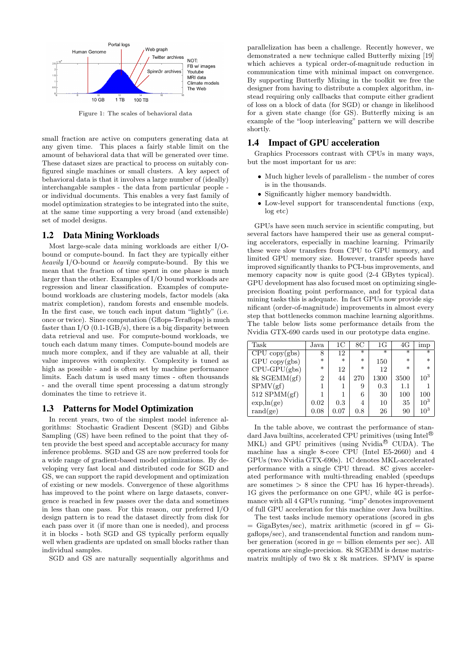

Figure 1: The scales of behavioral data

small fraction are active on computers generating data at any given time. This places a fairly stable limit on the amount of behavioral data that will be generated over time. These dataset sizes are practical to process on suitably configured single machines or small clusters. A key aspect of behavioral data is that it involves a large number of (ideally) interchangable samples - the data from particular people or individual documents. This enables a very fast family of model optimization strategies to be integrated into the suite, at the same time supporting a very broad (and extensible) set of model designs.

#### 1.2 Data Mining Workloads

Most large-scale data mining workloads are either I/Obound or compute-bound. In fact they are typically either heavily I/O-bound or heavily compute-bound. By this we mean that the fraction of time spent in one phase is much larger than the other. Examples of I/O bound workloads are regression and linear classification. Examples of computebound workloads are clustering models, factor models (aka matrix completion), random forests and ensemble models. In the first case, we touch each input datum "lightly" (i.e. once or twice). Since computation (Gflops-Teraflops) is much faster than  $I/O$  (0.1-1GB/s), there is a big disparity between data retrieval and use. For compute-bound workloads, we touch each datum many times. Compute-bound models are much more complex, and if they are valuable at all, their value improves with complexity. Complexity is tuned as high as possible - and is often set by machine performance limits. Each datum is used many times - often thousands - and the overall time spent processing a datum strongly dominates the time to retrieve it.

#### 1.3 Patterns for Model Optimization

In recent years, two of the simplest model inference algorithms: Stochastic Gradient Descent (SGD) and Gibbs Sampling (GS) have been refined to the point that they often provide the best speed and acceptable accuracy for many inference problems. SGD and GS are now preferred tools for a wide range of gradient-based model optimizations. By developing very fast local and distributed code for SGD and GS, we can support the rapid development and optimization of existing or new models. Convergence of these algorithms has improved to the point where on large datasets, convergence is reached in few passes over the data and sometimes in less than one pass. For this reason, our preferred I/O design pattern is to read the dataset directly from disk for each pass over it (if more than one is needed), and process it in blocks - both SGD and GS typically perform equally well when gradients are updated on small blocks rather than individual samples.

SGD and GS are naturally sequentially algorithms and

parallelization has been a challenge. Recently however, we demonstrated a new technique called Butterfly mixing [19] which achieves a typical order-of-magnitude reduction in communication time with minimal impact on convergence. By supporting Butterfly Mixing in the toolkit we free the designer from having to distribute a complex algorithm, instead requiring only callbacks that compute either gradient of loss on a block of data (for SGD) or change in likelihood for a given state change (for GS). Butterfly mixing is an example of the "loop interleaving" pattern we will describe shortly.

### 1.4 Impact of GPU acceleration

Graphics Processors contrast with CPUs in many ways, but the most important for us are:

- Much higher levels of parallelism the number of cores is in the thousands.
- Significantly higher memory bandwidth.
- Low-level support for transcendental functions (exp, log etc)

GPUs have seen much service in scientific computing, but several factors have hampered their use as general computing accelerators, especially in machine learning. Primarily these were slow transfers from CPU to GPU memory, and limited GPU memory size. However, transfer speeds have improved significantly thanks to PCI-bus improvements, and memory capacity now is quite good (2-4 GBytes typical). GPU development has also focused most on optimizing singleprecision floating point performance, and for typical data mining tasks this is adequate. In fact GPUs now provide significant (order-of-magnitude) improvements in almost every step that bottlenecks common machine learning algorithms. The table below lists some performance details from the Nvidia GTX-690 cards used in our prototype data engine.

| Task                              | Java           | 1C     | 8С      | 1G     | 4G     | imp             |
|-----------------------------------|----------------|--------|---------|--------|--------|-----------------|
| $\overline{\text{CPU}}$ copy(gbs) | 8              | 12     | $\ast$  | $\ast$ | $\ast$ | $\ast$          |
| $GPU$ copy $(gbs)$                | $\ast$         | $\ast$ | $\ast$  | 150    | $\ast$ | $\ast$          |
| $CPU-GPU(gbs)$                    | $\ast$         | 12     | $\ast$  | 12     | $\ast$ | $\ast$          |
| 8k SGEMM(gf)                      | $\overline{2}$ | 44     | 270     | 1300   | 3500   | $10^3$          |
| SPMV(gf)                          |                |        | 9       | 0.3    | 1.1    |                 |
| $512$ SPMM(gf)                    |                |        | 6       | 30     | 100    | 100             |
| $\exp$ , $\ln(\text{ge})$         | 0.02           | 0.3    | 4       | 10     | 35     | $10^3$          |
| rand(ge)                          | 0.08           | 0.07   | $0.8\,$ | 26     | 90     | 10 <sup>3</sup> |

In the table above, we contrast the performance of standard Java builtins, accelerated CPU primitives (using Intel<sup>®</sup> MKL) and GPU primitives (using Nvidia<sup>®</sup> CUDA). The machine has a single 8-core CPU (Intel E5-2660) and 4 GPUs (two Nvidia GTX-690s). 1C denotes MKL-accelerated performance with a single CPU thread. 8C gives accelerated performance with multi-threading enabled (speedups are sometimes  $> 8$  since the CPU has 16 hyper-threads). 1G gives the performance on one GPU, while 4G is performance with all 4 GPUs running. "imp" denotes improvement of full GPU acceleration for this machine over Java builtins.

The test tasks include memory operations (scored in gbs  $=$  GigaBytes/sec), matrix arithmetic (scored in gf  $=$  Gigaflops/sec), and transcendental function and random number generation (scored in ge = billion elements per sec). All operations are single-precision. 8k SGEMM is dense matrixmatrix multiply of two 8k x 8k matrices. SPMV is sparse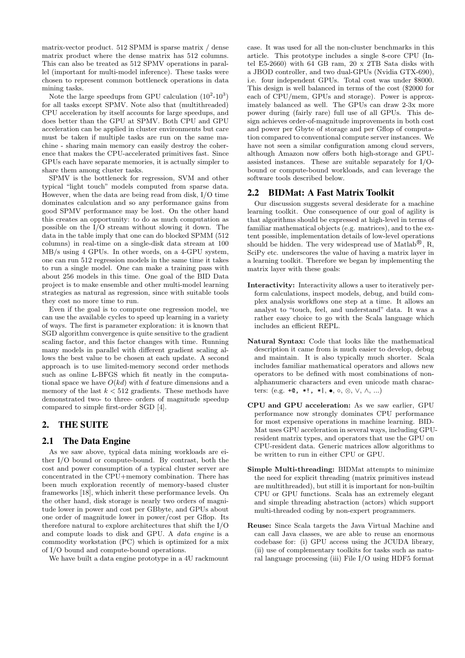matrix-vector product. 512 SPMM is sparse matrix / dense matrix product where the dense matrix has 512 columns. This can also be treated as 512 SPMV operations in parallel (important for multi-model inference). These tasks were chosen to represent common bottleneck operations in data mining tasks.

Note the large speedups from GPU calculation  $(10^2-10^3)$ for all tasks except SPMV. Note also that (multithreaded) CPU acceleration by itself accounts for large speedups, and does better than the GPU at SPMV. Both CPU and GPU acceleration can be applied in cluster environments but care must be taken if multiple tasks are run on the same machine - sharing main memory can easily destroy the coherence that makes the CPU-accelerated primitives fast. Since GPUs each have separate memories, it is actually simpler to share them among cluster tasks.

SPMV is the bottleneck for regression, SVM and other typical "light touch" models computed from sparse data. However, when the data are being read from disk, I/O time dominates calculation and so any performance gains from good SPMV performance may be lost. On the other hand this creates an opportunity: to do as much computation as possible on the I/O stream without slowing it down. The data in the table imply that one can do blocked SPMM (512 columns) in real-time on a single-disk data stream at 100 MB/s using 4 GPUs. In other words, on a 4-GPU system, one can run 512 regression models in the same time it takes to run a single model. One can make a training pass with about 256 models in this time. One goal of the BID Data project is to make ensemble and other multi-model learning strategies as natural as regression, since with suitable tools they cost no more time to run.

Even if the goal is to compute one regression model, we can use the available cycles to speed up learning in a variety of ways. The first is parameter exploration: it is known that SGD algorithm convergence is quite sensitive to the gradient scaling factor, and this factor changes with time. Running many models in parallel with different gradient scaling allows the best value to be chosen at each update. A second approach is to use limited-memory second order methods such as online L-BFGS which fit neatly in the computational space we have  $O(kd)$  with d feature dimensions and a memory of the last  $k < 512$  gradients. These methods have demonstrated two- to three- orders of magnitude speedup compared to simple first-order SGD [4].

## 2. THE SUITE

## 2.1 The Data Engine

As we saw above, typical data mining workloads are either I/O bound or compute-bound. By contrast, both the cost and power consumption of a typical cluster server are concentrated in the CPU+memory combination. There has been much exploration recently of memory-based cluster frameworks [18], which inherit these performance levels. On the other hand, disk storage is nearly two orders of magnitude lower in power and cost per GBbyte, and GPUs about one order of magnitude lower in power/cost per Gflop. Its therefore natural to explore architectures that shift the I/O and compute loads to disk and GPU. A data engine is a commodity workstation (PC) which is optimized for a mix of I/O bound and compute-bound operations.

We have built a data engine prototype in a 4U rackmount

case. It was used for all the non-cluster benchmarks in this article. This prototype includes a single 8-core CPU (Intel E5-2660) with 64 GB ram, 20 x 2TB Sata disks with a JBOD controller, and two dual-GPUs (Nvidia GTX-690), i.e. four independent GPUs. Total cost was under \$8000. This design is well balanced in terms of the cost (\$2000 for each of CPU/mem, GPUs and storage). Power is approximately balanced as well. The GPUs can draw 2-3x more power during (fairly rare) full use of all GPUs. This design achieves order-of-magnitude improvements in both cost and power per Gbyte of storage and per Gflop of computation compared to conventional compute server instances. We have not seen a similar configuration among cloud servers, although Amazon now offers both high-storage and GPUassisted instances. These are suitable separately for I/Obound or compute-bound workloads, and can leverage the software tools described below.

## 2.2 BIDMat: A Fast Matrix Toolkit

Our discussion suggests several desiderate for a machine learning toolkit. One consequence of our goal of agility is that algorithms should be expressed at high-level in terms of familiar mathematical objects (e.g. matrices), and to the extent possible, implementation details of low-level operations should be hidden. The very widespread use of Matlab<sup>®</sup>, R, SciPy etc. underscores the value of having a matrix layer in a learning toolkit. Therefore we began by implementing the matrix layer with these goals:

- Interactivity: Interactivity allows a user to iteratively perform calculations, inspect models, debug, and build complex analysis workflows one step at a time. It allows an analyst to "touch, feel, and understand" data. It was a rather easy choice to go with the Scala language which includes an efficient REPL.
- Natural Syntax: Code that looks like the mathematical description it came from is much easier to develop, debug and maintain. It is also typically much shorter. Scala includes familiar mathematical operators and allows new operators to be defined with most combinations of nonalphanumeric characters and even unicode math characters: (e.g.  $+ \mathbf{0}$ ,  $*!$ ,  $*|$ ,  $\bullet$ ,  $\circ$ ,  $\otimes$ ,  $\vee$ ,  $\wedge$ , ...)
- CPU and GPU acceleration: As we saw earlier, GPU performance now strongly dominates CPU performance for most expensive operations in machine learning. BID-Mat uses GPU acceleration in several ways, including GPUresident matrix types, and operators that use the GPU on CPU-resident data. Generic matrices allow algorithms to be written to run in either CPU or GPU.
- Simple Multi-threading: BIDMat attempts to minimize the need for explicit threading (matrix primitives instead are multithreaded), but still it is important for non-builtin CPU or GPU functions. Scala has an extremely elegant and simple threading abstraction (actors) which support multi-threaded coding by non-expert programmers.
- Reuse: Since Scala targets the Java Virtual Machine and can call Java classes, we are able to reuse an enormous codebase for: (i) GPU access using the JCUDA library, (ii) use of complementary toolkits for tasks such as natural language processing (iii) File I/O using HDF5 format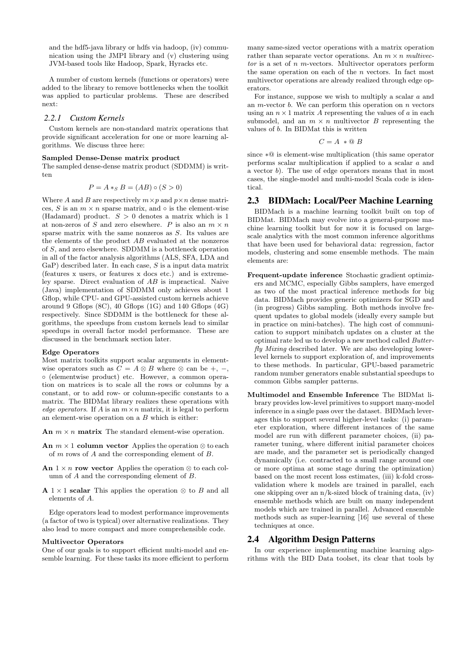and the hdf5-java library or hdfs via hadoop, (iv) communication using the JMPI library and (v) clustering using JVM-based tools like Hadoop, Spark, Hyracks etc.

A number of custom kernels (functions or operators) were added to the library to remove bottlenecks when the toolkit was applied to particular problems. These are described next:

#### *2.2.1 Custom Kernels*

Custom kernels are non-standard matrix operations that provide significant acceleration for one or more learning algorithms. We discuss three here:

#### Sampled Dense-Dense matrix product

The sampled dense-dense matrix product (SDDMM) is written

$$
P = A *_{S} B = (AB) \circ (S > 0)
$$

Where A and B are respectively  $m \times p$  and  $p \times n$  dense matrices, S is an  $m \times n$  sparse matrix, and  $\circ$  is the element-wise (Hadamard) product.  $S > 0$  denotes a matrix which is 1 at non-zeros of S and zero elsewhere. P is also an  $m \times n$ sparse matrix with the same nonzeros as S. Its values are the elements of the product AB evaluated at the nonzeros of S, and zero elsewhere. SDDMM is a bottleneck operation in all of the factor analysis algorithms (ALS, SFA, LDA and  $\text{GaP}$ ) described later. In each case, S is a input data matrix (features x users, or features x docs etc.) and is extremeley sparse. Direct evaluation of AB is impractical. Naive (Java) implementation of SDDMM only achieves about 1 Gflop, while CPU- and GPU-assisted custom kernels achieve around 9 Gflops (8C), 40 Gflops (1G) and 140 Gflops (4G) respectively. Since SDDMM is the bottleneck for these algorithms, the speedups from custom kernels lead to similar speedups in overall factor model performance. These are discussed in the benchmark section later.

#### Edge Operators

Most matrix toolkits support scalar arguments in elementwise operators such as  $C = A \otimes B$  where  $\otimes$  can be  $+, -$ , ◦ (elementwise product) etc. However, a common operation on matrices is to scale all the rows or columns by a constant, or to add row- or column-specific constants to a matrix. The BIDMat library realizes these operations with edge operators. If A is an  $m \times n$  matrix, it is legal to perform an element-wise operation on a  $B$  which is either:

- An  $m \times n$  matrix The standard element-wise operation.
- An  $m \times 1$  column vector Applies the operation  $\otimes$  to each of  $m$  rows of  $A$  and the corresponding element of  $B$ .
- An  $1 \times n$  row vector Applies the operation ⊗ to each column of A and the corresponding element of B.
- A  $1 \times 1$  scalar This applies the operation ⊗ to B and all elements of A.

Edge operators lead to modest performance improvements (a factor of two is typical) over alternative realizations. They also lead to more compact and more comprehensible code.

#### Multivector Operators

One of our goals is to support efficient multi-model and ensemble learning. For these tasks its more efficient to perform

many same-sized vector operations with a matrix operation rather than separate vector operations. An  $m \times n$  multivec $tor$  is a set of  $n$  m-vectors. Multivector operators perform the same operation on each of the  $n$  vectors. In fact most multivector operations are already realized through edge operators.

For instance, suppose we wish to multiply a scalar a and an  $m$ -vector  $b$ . We can perform this operation on  $n$  vectors using an  $n \times 1$  matrix A representing the values of a in each submodel, and an  $m \times n$  multivector B representing the values of b. In BIDMat this is written

$$
C = A \ * @\ B
$$

since ∗@ is element-wise multiplication (this same operator performs scalar multiplication if applied to a scalar a and a vector b). The use of edge operators means that in most cases, the single-model and multi-model Scala code is identical.

#### 2.3 BIDMach: Local/Peer Machine Learning

BIDMach is a machine learning toolkit built on top of BIDMat. BIDMach may evolve into a general-purpose machine learning toolkit but for now it is focused on largescale analytics with the most common inference algorithms that have been used for behavioral data: regression, factor models, clustering and some ensemble methods. The main elements are:

- Frequent-update inference Stochastic gradient optimizers and MCMC, especially Gibbs samplers, have emerged as two of the most practical inference methods for big data. BIDMach provides generic optimizers for SGD and (in progress) Gibbs sampling. Both methods involve frequent updates to global models (ideally every sample but in practice on mini-batches). The high cost of communication to support minibatch updates on a cluster at the optimal rate led us to develop a new method called Butter $fly$  Mixing described later. We are also developing lowerlevel kernels to support exploration of, and improvements to these methods. In particular, GPU-based parametric random number generators enable substantial speedups to common Gibbs sampler patterns.
- Multimodel and Ensemble Inference The BIDMat library provides low-level primitives to support many-model inference in a single pass over the dataset. BIDMach leverages this to support several higher-level tasks: (i) parameter exploration, where different instances of the same model are run with different parameter choices, (ii) parameter tuning, where different initial parameter choices are made, and the parameter set is periodically changed dynamically (i.e. contracted to a small range around one or more optima at some stage during the optimization) based on the most recent loss estimates, (iii) k-fold crossvalidation where k models are trained in parallel, each one skipping over an n/k-sized block of training data, (iv) ensemble methods which are built on many independent models which are trained in parallel. Advanced ensemble methods such as super-learning [16] use several of these techniques at once.

#### 2.4 Algorithm Design Patterns

In our experience implementing machine learning algorithms with the BID Data toolset, its clear that tools by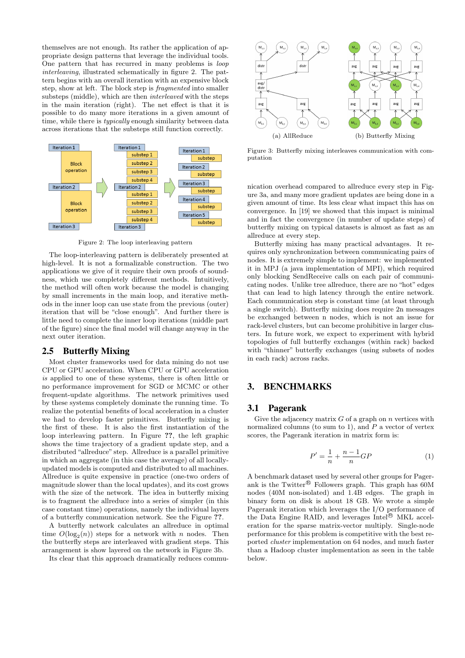themselves are not enough. Its rather the application of appropriate design patterns that leverage the individual tools. One pattern that has recurred in many problems is loop interleaving, illustrated schematically in figure 2. The pattern begins with an overall iteration with an expensive block step, show at left. The block step is fragmented into smaller substeps (middle), which are then *interleaved* with the steps in the main iteration (right). The net effect is that it is possible to do many more iterations in a given amount of time, while there is *typically* enough similarity between data across iterations that the substeps still function correctly.



Figure 2: The loop interleaving pattern

The loop-interleaving pattern is deliberately presented at high-level. It is not a formalizable construction. The two applications we give of it require their own proofs of soundness, which use completely different methods. Intuitively, the method will often work because the model is changing by small increments in the main loop, and iterative methods in the inner loop can use state from the previous (outer) iteration that will be "close enough". And further there is little need to complete the inner loop iterations (middle part of the figure) since the final model will change anyway in the next outer iteration.

#### 2.5 Butterfly Mixing

Most cluster frameworks used for data mining do not use CPU or GPU acceleration. When CPU or GPU acceleration is applied to one of these systems, there is often little or no performance improvement for SGD or MCMC or other frequent-update algorithms. The network primitives used by these systems completely dominate the running time. To realize the potential benefits of local acceleration in a cluster we had to develop faster primitives. Butterfly mixing is the first of these. It is also the first instantiation of the loop interleaving pattern. In Figure ??, the left graphic shows the time trajectory of a gradient update step, and a distributed "allreduce" step. Allreduce is a parallel primitive in which an aggregate (in this case the average) of all locallyupdated models is computed and distributed to all machines. Allreduce is quite expensive in practice (one-two orders of magnitude slower than the local updates), and its cost grows with the size of the network. The idea in butterfly mixing is to fragment the allreduce into a series of simpler (in this case constant time) operations, namely the individual layers of a butterfly communication network. See the Figure ??.

A butterfly network calculates an allreduce in optimal time  $O(\log_2(n))$  steps for a network with n nodes. Then the butterfly steps are interleaved with gradient steps. This arrangement is show layered on the network in Figure 3b.

Its clear that this approach dramatically reduces commu-



Figure 3: Butterfly mixing interleaves communication with computation

nication overhead compared to allreduce every step in Figure 3a, and many more gradient updates are being done in a given amount of time. Its less clear what impact this has on convergence. In [19] we showed that this impact is minimal and in fact the convergence (in number of update steps) of butterfly mixing on typical datasets is almost as fast as an allreduce at every step.

Butterfly mixing has many practical advantages. It requires only synchronization between communicating pairs of nodes. It is extremely simple to implement: we implemented it in MPJ (a java implementation of MPI), which required only blocking SendReceive calls on each pair of communicating nodes. Unlike tree allreduce, there are no "hot" edges that can lead to high latency through the entire network. Each communication step is constant time (at least through a single switch). Butterfly mixing does require 2n messages be exchanged between n nodes, which is not an issue for rack-level clusters, but can become prohibitive in larger clusters. In future work, we expect to experiment with hybrid topologies of full butterfly exchanges (within rack) backed with "thinner" butterfly exchanges (using subsets of nodes in each rack) across racks.

## 3. BENCHMARKS

#### 3.1 Pagerank

Give the adjacency matrix  $G$  of a graph on  $n$  vertices with normalized columns (to sum to 1), and  $P$  a vector of vertex scores, the Pagerank iteration in matrix form is:

$$
P' = \frac{1}{n} + \frac{n-1}{n}GP\tag{1}
$$

A benchmark dataset used by several other groups for Pagerank is the Twitter<sup>®</sup> Followers graph. This graph has  $60M$ nodes (40M non-isolated) and 1.4B edges. The graph in binary form on disk is about 18 GB. We wrote a simple Pagerank iteration which leverages the I/O performance of the Data Engine RAID, and leverages Intel $\mathcal{B}$  MKL acceleration for the sparse matrix-vector multiply. Single-node performance for this problem is competitive with the best reported cluster implementation on 64 nodes, and much faster than a Hadoop cluster implementation as seen in the table below.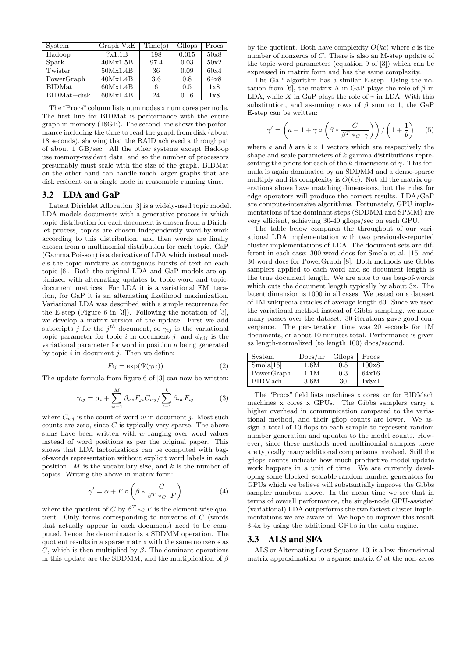| System        | Graph VxE | Time(s) | Gflops | Procs |
|---------------|-----------|---------|--------|-------|
| Hadoop        | ?x1.1B    | 198     | 0.015  | 50x8  |
| Spark         | 40Mx1.5B  | 97.4    | 0.03   | 50x2  |
| Twister       | 50Mx1.4B  | 36      | 0.09   | 60x4  |
| PowerGraph    | 40Mx1.4B  | 3.6     | 0.8    | 64x8  |
| <b>BIDMat</b> | 60Mx1.4B  | 6       | 0.5    | 1x8   |
| $BIDMat+disk$ | 60Mx1.4B  | 24      | 0.16   | 1x8   |

The "Procs" column lists num nodes x num cores per node. The first line for BIDMat is performance with the entire graph in memory (18GB). The second line shows the performance including the time to read the graph from disk (about 18 seconds), showing that the RAID achieved a throughput of about 1 GB/sec. All the other systems except Hadoop use memory-resident data, and so the number of processors presumably must scale with the size of the graph. BIDMat on the other hand can handle much larger graphs that are disk resident on a single node in reasonable running time.

#### 3.2 LDA and GaP

Latent Dirichlet Allocation [3] is a widely-used topic model. LDA models documents with a generative process in which topic distribution for each document is chosen from a Dirichlet process, topics are chosen independently word-by-work according to this distribution, and then words are finally chosen from a multinomial distribution for each topic. GaP (Gamma Poisson) is a derivative of LDA which instead models the topic mixture as contiguous bursts of text on each topic [6]. Both the original LDA and GaP models are optimized with alternating updates to topic-word and topicdocument matrices. For LDA it is a variational EM iteration, for GaP it is an alternating likelihood maximization. Variational LDA was described with a simple recurrence for the E-step (Figure 6 in [3]). Following the notation of [3], we develop a matrix version of the update. First we add subscripts j for the  $j<sup>th</sup>$  document, so  $\gamma_{ij}$  is the variational topic parameter for topic i in document j, and  $\phi_{nij}$  is the variational parameter for word in position  $n$  being generated by topic  $i$  in document  $j$ . Then we define:

$$
F_{ij} = \exp(\Psi(\gamma_{ij}))\tag{2}
$$

The update formula from figure 6 of [3] can now be written:

$$
\gamma_{ij} = \alpha_i + \sum_{w=1}^{M} \beta_{iw} F_{ji} C_{wj} / \sum_{i=1}^{k} \beta_{iw} F_{ij}
$$
 (3)

where  $C_{wj}$  is the count of word w in document j. Most such counts are zero, since C is typically very sparse. The above sums have been written with  $w$  ranging over word values instead of word positions as per the original paper. This shows that LDA factorizations can be computed with bagof-words representation without explicit word labels in each position.  $M$  is the vocabulary size, and  $k$  is the number of topics. Writing the above in matrix form:

$$
\gamma' = \alpha + F \circ \left(\beta * \frac{C}{\beta^T *_{C} F}\right) \tag{4}
$$

where the quotient of C by  $\beta^T *_{C} F$  is the element-wise quotient. Only terms corresponding to nonzeros of C (words that actually appear in each document) need to be computed, hence the denominator is a SDDMM operation. The quotient results in a sparse matrix with the same nonzeros as C, which is then multiplied by  $\beta$ . The dominant operations in this update are the SDDMM, and the multiplication of  $\beta$ 

by the quotient. Both have complexity  $O(kc)$  where c is the number of nonzeros of C. There is also an M-step update of the topic-word parameters (equation 9 of [3]) which can be expressed in matrix form and has the same complexity.

The GaP algorithm has a similar E-step. Using the notation from [6], the matrix  $\Lambda$  in GaP plays the role of  $\beta$  in LDA, while X in GaP plays the role of  $\gamma$  in LDA. With this substitution, and assuming rows of  $\beta$  sum to 1, the GaP E-step can be written:

$$
\gamma' = \left(a - 1 + \gamma \circ \left(\beta * \frac{C}{\beta^T *_{C} \gamma}\right)\right) / \left(1 + \frac{1}{b}\right) \quad (5)
$$

where a and b are  $k \times 1$  vectors which are respectively the shape and scale parameters of k gamma distributions representing the priors for each of the k dimensions of  $\gamma$ . This formula is again dominated by an SDDMM and a dense-sparse multiply and its complexity is  $O(kc)$ . Not all the matrix operations above have matching dimensions, but the rules for edge operators will produce the correct results. LDA/GaP are compute-intensive algorithms. Fortunately, GPU implementations of the dominant steps (SDDMM and SPMM) are very efficient, achieving 30-40 gflops/sec on each GPU.

The table below compares the throughput of our variational LDA implementation with two previously-reported cluster implementations of LDA. The document sets are different in each case: 300-word docs for Smola et al. [15] and 30-word docs for PowerGraph [8]. Both methods use Gibbs samplers applied to each word and so document length is the true document length. We are able to use bag-of-words which cuts the document length typically by about 3x. The latent dimension is 1000 in all cases. We tested on a dataset of 1M wikipedia articles of average length 60. Since we used the variational method instead of Gibbs sampling, we made many passes over the dataset. 30 iterations gave good convergence. The per-iteration time was 20 seconds for 1M documents, or about 10 minutes total. Performance is given as length-normalized (to length 100) docs/second.

| System         | Docs/hr | Gflops | Procs        |
|----------------|---------|--------|--------------|
| Smola[15]      | 1.6M    | 0.5    | $100\times8$ |
| PowerGraph     | 1.1M    | 0.3    | 64x16        |
| <b>BIDMach</b> | 3.6M    | 30     | 1x8x1        |

The "Procs" field lists machines x cores, or for BIDMach machines x cores x GPUs. The Gibbs samplers carry a higher overhead in communication compared to the variational method, and their gflop counts are lower. We assign a total of 10 flops to each sample to represent random number generation and updates to the model counts. However, since these methods need multinomial samples there are typically many additional comparisons involved. Still the gflops counts indicate how much productive model-update work happens in a unit of time. We are currently developing some blocked, scalable random number generators for GPUs which we believe will substantially improve the Gibbs sampler numbers above. In the mean time we see that in terms of overall performance, the single-node GPU-assisted (variational) LDA outperforms the two fastest cluster implementations we are aware of. We hope to improve this result 3-4x by using the additional GPUs in the data engine.

#### 3.3 ALS and SFA

ALS or Alternating Least Squares [10] is a low-dimensional matrix approximation to a sparse matrix  $C$  at the non-zeros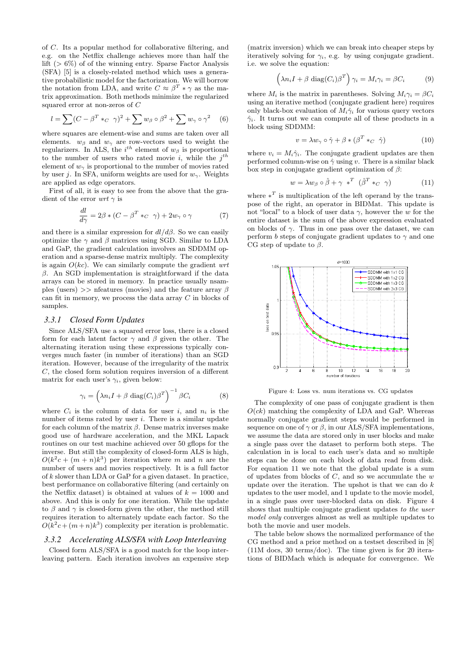of C. Its a popular method for collaborative filtering, and e.g. on the Netflix challenge achieves more than half the lift  $(> 6\%)$  of of the winning entry. Sparse Factor Analysis (SFA) [5] is a closely-related method which uses a generative probabilistic model for the factorization. We will borrow the notation from LDA, and write  $C \approx \beta^T * \gamma$  as the matrix approximation. Both methods minimize the regularized squared error at non-zeros of C

$$
l = \sum (C - \beta^T *_{C} \gamma)^2 + \sum w_{\beta} \circ \beta^2 + \sum w_{\gamma} \circ \gamma^2 \quad (6)
$$

where squares are element-wise and sums are taken over all elements.  $w_{\beta}$  and  $w_{\gamma}$  are row-vectors used to weight the regularizers. In ALS, the  $i^{th}$  element of  $w_{\beta}$  is proportional to the number of users who rated movie i, while the  $j^{th}$ element of  $w_{\gamma}$  is proportional to the number of movies rated by user j. In SFA, uniform weights are used for  $w_{\gamma}$ . Weights are applied as edge operators.

First of all, it is easy to see from the above that the gradient of the error  $wrt \gamma$  is

$$
\frac{dl}{d\gamma} = 2\beta * (C - \beta^T *_C \gamma) + 2w_\gamma \circ \gamma \tag{7}
$$

and there is a similar expression for  $dl/d\beta$ . So we can easily optimize the  $\gamma$  and  $\beta$  matrices using SGD. Similar to LDA and GaP, the gradient calculation involves an SDDMM operation and a sparse-dense matrix multiply. The complexity is again  $O(kc)$ . We can similarly compute the gradient wrt  $β$ . An SGD implementation is straightforward if the data arrays can be stored in memory. In practice usually nsamples (users)  $\gg$  nfeatures (movies) and the feature array  $\beta$ can fit in memory, we process the data array C in blocks of samples.

#### *3.3.1 Closed Form Updates*

Since ALS/SFA use a squared error loss, there is a closed form for each latent factor  $\gamma$  and  $\beta$  given the other. The alternating iteration using these expressions typically converges much faster (in number of iterations) than an SGD iteration. However, because of the irregularity of the matrix C, the closed form solution requires inversion of a different matrix for each user's  $\gamma_i$ , given below:

$$
\gamma_i = \left(\lambda n_i I + \beta \text{ diag}(C_i) \beta^T\right)^{-1} \beta C_i \tag{8}
$$

where  $C_i$  is the column of data for user i, and  $n_i$  is the number of items rated by user  $i$ . There is a similar update for each column of the matrix  $\beta$ . Dense matrix inverses make good use of hardware acceleration, and the MKL Lapack routines on our test machine achieved over 50 gflops for the inverse. But still the complexity of closed-form ALS is high,  $O(k^2c + (m+n)k^3)$  per iteration where m and n are the number of users and movies respectively. It is a full factor of k slower than LDA or GaP for a given dataset. In practice, best performance on collaborative filtering (and certainly on the Netflix dataset) is obtained at values of  $k = 1000$  and above. And this is only for one iteration. While the update to  $\beta$  and  $\gamma$  is closed-form given the other, the method still requires iteration to alternately update each factor. So the  $O(k^2c + (m+n)k^3)$  complexity per iteration is problematic.

#### *3.3.2 Accelerating ALS/SFA with Loop Interleaving*

Closed form ALS/SFA is a good match for the loop interleaving pattern. Each iteration involves an expensive step

(matrix inversion) which we can break into cheaper steps by iteratively solving for  $\gamma_i$ , e.g. by using conjugate gradient. i.e. we solve the equation:

$$
\left(\lambda n_i I + \beta \text{ diag}(C_i) \beta^T\right) \gamma_i = M_i \gamma_i = \beta C_i \tag{9}
$$

where  $M_i$  is the matrix in parentheses. Solving  $M_i \gamma_i = \beta C_i$ using an iterative method (conjugate gradient here) requires only black-box evaluation of  $M_i\hat{\gamma}_i$  for various query vectors  $\hat{\gamma}_i$ . It turns out we can compute all of these products in a block using SDDMM:

$$
v = \lambda w_{\gamma} \circ \hat{\gamma} + \beta * (\beta^T *_{C} \hat{\gamma})
$$
 (10)

where  $v_i = M_i \hat{\gamma}_i$ . The conjugate gradient updates are then performed column-wise on  $\hat{\gamma}$  using v. There is a similar black box step in conjugate gradient optimization of  $\beta$ :

$$
w = \lambda w_{\beta} \circ \hat{\beta} + \gamma *^{T} (\hat{\beta}^{T} *_{C} \gamma)
$$
 (11)

where  $*^T$  is multiplication of the left operand by the transpose of the right, an operator in BIDMat. This update is not "local" to a block of user data  $\gamma$ , however the w for the entire dataset is the sum of the above expression evaluated on blocks of  $\gamma$ . Thus in one pass over the dataset, we can perform b steps of conjugate gradient updates to  $\gamma$  and one CG step of update to  $\beta$ .



Figure 4: Loss vs. num iterations vs. CG updates

The complexity of one pass of conjugate gradient is then  $O(ck)$  matching the complexity of LDA and GaP. Whereas normally conjugate gradient steps would be performed in sequence on one of  $\gamma$  or  $\beta$ , in our ALS/SFA implementations, we assume the data are stored only in user blocks and make a single pass over the dataset to perform both steps. The calculation in is local to each user's data and so multiple steps can be done on each block of data read from disk. For equation 11 we note that the global update is a sum of updates from blocks of  $C$ , and so we accumulate the w update over the iteration. The upshot is that we can do  $k$ updates to the user model, and 1 update to the movie model, in a single pass over user-blocked data on disk. Figure 4 shows that multiple conjugate gradient updates to the user model only converges almost as well as multiple updates to both the movie and user models.

The table below shows the normalized performance of the CG method and a prior method on a testset described in [8] (11M docs, 30 terms/doc). The time given is for 20 iterations of BIDMach which is adequate for convergence. We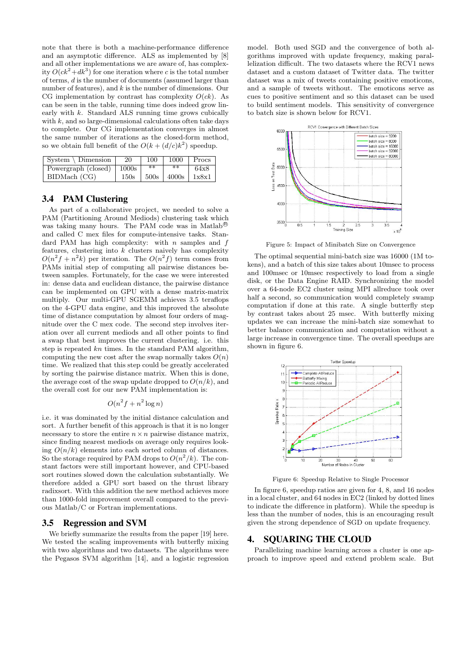note that there is both a machine-performance difference and an asymptotic difference. ALS as implemented by [8] and all other implementations we are aware of, has complexity  $O(ck^2+dk^3)$  for one iteration where c is the total number of terms, d is the number of documents (assumed larger than number of features), and  $k$  is the number of dimensions. Our CG implementation by contrast has complexity  $O(ck)$ . As can be seen in the table, running time does indeed grow linearly with  $k$ . Standard ALS running time grows cubically with  $k$ , and so large-dimensional calculations often take days to complete. Our CG implementation converges in almost the same number of iterations as the closed-form method, so we obtain full benefit of the  $O(k + (d/c)k^2)$  speedup.

| $S$ System \ Dimension | 20    | 100  | 1000             | Procs |
|------------------------|-------|------|------------------|-------|
| Powergraph (closed)    | 1000s | $**$ | $**$             | 64x8  |
| BIDMach (CG)           | 150s  |      | $500s$   $4000s$ | 1x8x1 |

#### 3.4 PAM Clustering

As part of a collaborative project, we needed to solve a PAM (Partitioning Around Mediods) clustering task which was taking many hours. The PAM code was in Matlab <sup>R</sup> and called C mex files for compute-intensive tasks. Standard PAM has high complexity: with  $n$  samples and  $f$ features, clustering into  $k$  clusters naively has complexity  $O(n^2 f + n^2 k)$  per iteration. The  $O(n^2 f)$  term comes from PAMs initial step of computing all pairwise distances between samples. Fortunately, for the case we were interested in: dense data and euclidean distance, the pairwise distance can be implemented on GPU with a dense matrix-matrix multiply. Our multi-GPU SGEMM achieves 3.5 teraflops on the 4-GPU data engine, and this improved the absolute time of distance computation by almost four orders of magnitude over the C mex code. The second step involves iteration over all current mediods and all other points to find a swap that best improves the current clustering. i.e. this step is repeated  $kn$  times. In the standard PAM algorithm, computing the new cost after the swap normally takes  $O(n)$ time. We realized that this step could be greatly accelerated by sorting the pairwise distance matrix. When this is done, the average cost of the swap update dropped to  $O(n/k)$ , and the overall cost for our new PAM implementation is:

$$
O(n^2 f + n^2 \log n)
$$

i.e. it was dominated by the initial distance calculation and sort. A further benefit of this approach is that it is no longer necessary to store the entire  $n \times n$  pairwise distance matrix, since finding nearest mediods on average only requires looking  $O(n/k)$  elements into each sorted column of distances. So the storage required by PAM drops to  $O(n^2/k)$ . The constant factors were still important however, and CPU-based sort routines slowed down the calculation substantially. We therefore added a GPU sort based on the thrust library radixsort. With this addition the new method achieves more than 1000-fold improvement overall compared to the previous Matlab/C or Fortran implementations.

#### 3.5 Regression and SVM

We briefly summarize the results from the paper [19] here. We tested the scaling improvements with butterfly mixing with two algorithms and two datasets. The algorithms were the Pegasos SVM algorithm [14], and a logistic regression

model. Both used SGD and the convergence of both algorithms improved with update frequency, making parallelization difficult. The two datasets where the RCV1 news dataset and a custom dataset of Twitter data. The twitter dataset was a mix of tweets containing positive emoticons, and a sample of tweets without. The emoticons serve as cues to positive sentiment and so this dataset can be used to build sentiment models. This sensitivity of convergence to batch size is shown below for RCV1.



Figure 5: Impact of Minibatch Size on Convergence

The optimal sequential mini-batch size was 16000 (1M tokens), and a batch of this size takes about 10msec to process and 100msec or 10msec respectively to load from a single disk, or the Data Engine RAID. Synchronizing the model over a 64-node EC2 cluster using MPI allreduce took over half a second, so communication would completely swamp computation if done at this rate. A single butterfly step by contrast takes about 25 msec. With butterfly mixing updates we can increase the mini-batch size somewhat to better balance communication and computation without a large increase in convergence time. The overall speedups are shown in figure 6.



Figure 6: Speedup Relative to Single Processor

In figure 6, speedup ratios are given for 4, 8, and 16 nodes in a local cluster, and 64 nodes in EC2 (linked by dotted lines to indicate the difference in platform). While the speedup is less than the number of nodes, this is an encouraging result given the strong dependence of SGD on update frequency.

#### 4. SQUARING THE CLOUD

Parallelizing machine learning across a cluster is one approach to improve speed and extend problem scale. But